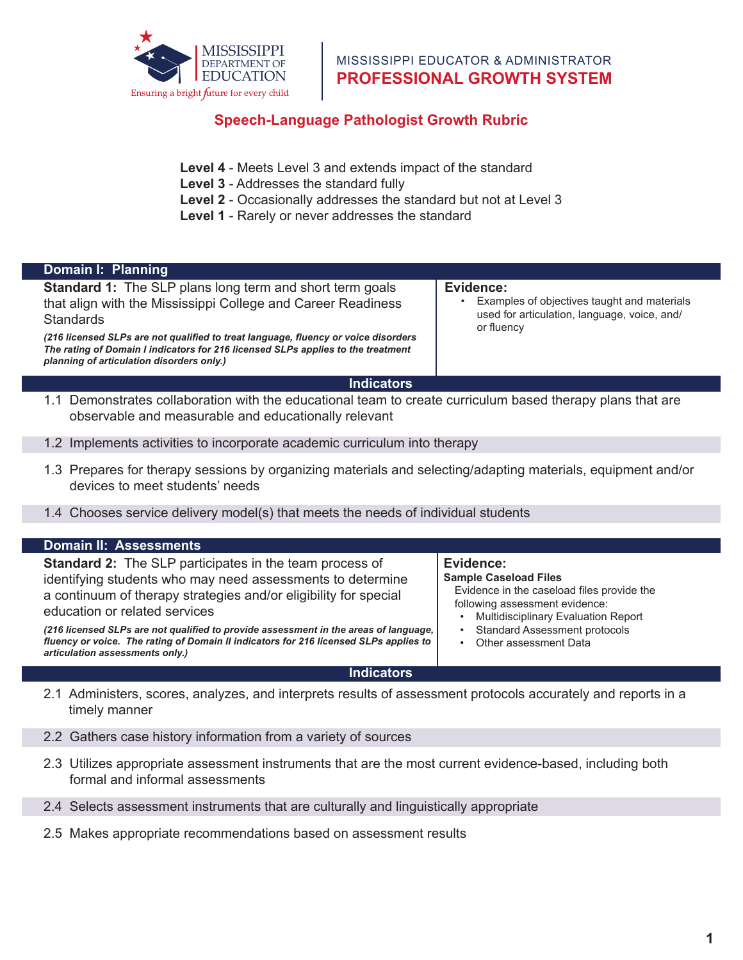

## **Domain I: Shared Vision, Speech-Language Pathologist Growth Rubric**<br>References

- **Level 4** Meets Level 3 and extends impact of the standard  $\sum_{i=1}^n a_i$
- implements a schoolwide  $\frac{1}{2}$  meet  $\frac{1}{2}$  and  $\frac{1}{2}$ **Level 3** - Addresses the standard fully
- **Level 2** Occasionally addresses the standard but **Level 2** - Occasionally addresses the standard but not at Level 3
- embraced by the school Level 1 - Rarely or never addresses the standard

| <b>Standard 1:</b> The SLP plans long term and short term goals<br>that align with the Mississippi College and Career Readiness<br>Standards<br>(216 licensed SLPs are not qualified to treat language, fluency or voice disorders<br>The rating of Domain I indicators for 216 licensed SLPs applies to the treatment<br>planning of articulation disorders only.)                                                                                   | Evidence:<br>Examples of objectives taught and materials<br>used for articulation, language, voice, and/<br>or fluency                                                                                                                                             |
|-------------------------------------------------------------------------------------------------------------------------------------------------------------------------------------------------------------------------------------------------------------------------------------------------------------------------------------------------------------------------------------------------------------------------------------------------------|--------------------------------------------------------------------------------------------------------------------------------------------------------------------------------------------------------------------------------------------------------------------|
| <b>Indicators</b>                                                                                                                                                                                                                                                                                                                                                                                                                                     |                                                                                                                                                                                                                                                                    |
| 1.1 Demonstrates collaboration with the educational team to create curriculum based therapy plans that are<br>observable and measurable and educationally relevant                                                                                                                                                                                                                                                                                    |                                                                                                                                                                                                                                                                    |
| 1.2 Implements activities to incorporate academic curriculum into therapy                                                                                                                                                                                                                                                                                                                                                                             |                                                                                                                                                                                                                                                                    |
| 1.3 Prepares for therapy sessions by organizing materials and selecting/adapting materials, equipment and/or<br>devices to meet students' needs                                                                                                                                                                                                                                                                                                       |                                                                                                                                                                                                                                                                    |
| 1.4 Chooses service delivery model(s) that meets the needs of individual students                                                                                                                                                                                                                                                                                                                                                                     |                                                                                                                                                                                                                                                                    |
| <b>Domain II: Assessments</b>                                                                                                                                                                                                                                                                                                                                                                                                                         |                                                                                                                                                                                                                                                                    |
| <b>Standard 2:</b> The SLP participates in the team process of<br>identifying students who may need assessments to determine<br>a continuum of therapy strategies and/or eligibility for special<br>education or related services<br>(216 licensed SLPs are not qualified to provide assessment in the areas of language,<br>fluency or voice. The rating of Domain II indicators for 216 licensed SLPs applies to<br>articulation assessments only.) | Evidence:<br><b>Sample Caseload Files</b><br>Evidence in the caseload files provide the<br>following assessment evidence:<br><b>Multidisciplinary Evaluation Report</b><br>$\bullet$<br><b>Standard Assessment protocols</b><br>$\bullet$<br>Other assessment Data |
| <b>Indicators</b>                                                                                                                                                                                                                                                                                                                                                                                                                                     |                                                                                                                                                                                                                                                                    |

2.2 Gathers case history information from a variety of sources

- 2.3 Utilizes appropriate assessment instruments that are the most current evidence-based, including both formal and informal assessments
- 2.4 Selects assessment instruments that are culturally and linguistically appropriate
- 2.5 Makes appropriate recommendations based on assessment results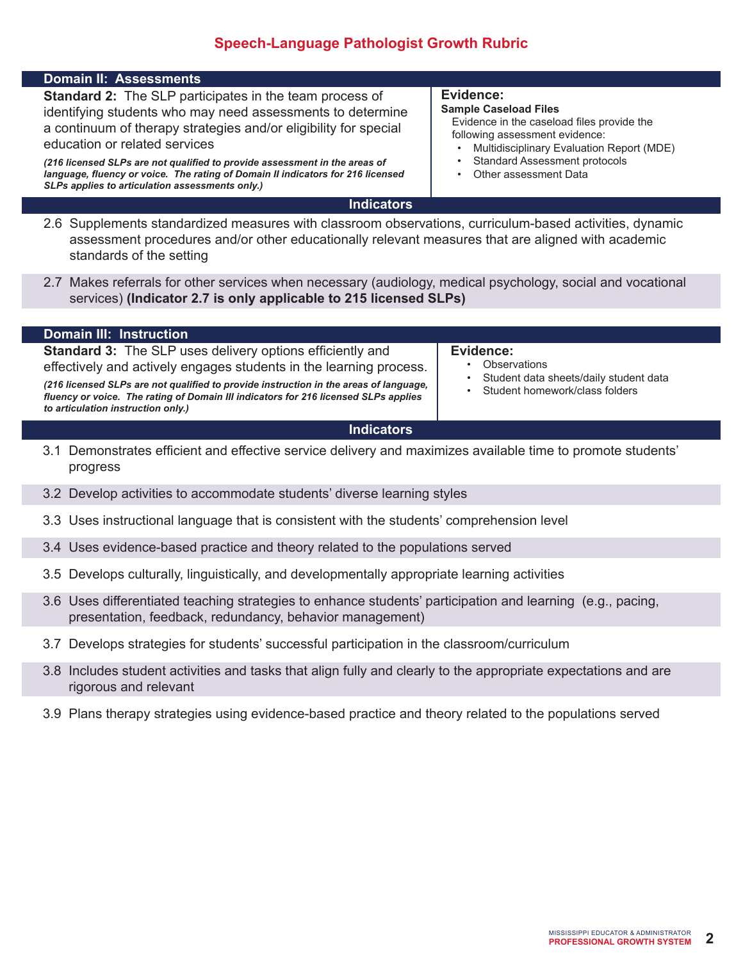## **Speech-Language Pathologist Growth Rubric**

| <b>Domain II: Assessments</b>                                                                                                                                                                                                                                                                                                                                                                                                                         |                                                                                                                                                                                                                                         |  |
|-------------------------------------------------------------------------------------------------------------------------------------------------------------------------------------------------------------------------------------------------------------------------------------------------------------------------------------------------------------------------------------------------------------------------------------------------------|-----------------------------------------------------------------------------------------------------------------------------------------------------------------------------------------------------------------------------------------|--|
| <b>Standard 2:</b> The SLP participates in the team process of<br>identifying students who may need assessments to determine<br>a continuum of therapy strategies and/or eligibility for special<br>education or related services<br>(216 licensed SLPs are not qualified to provide assessment in the areas of<br>language, fluency or voice. The rating of Domain II indicators for 216 licensed<br>SLPs applies to articulation assessments only.) | Evidence:<br><b>Sample Caseload Files</b><br>Evidence in the caseload files provide the<br>following assessment evidence:<br>Multidisciplinary Evaluation Report (MDE)<br><b>Standard Assessment protocols</b><br>Other assessment Data |  |
| <b>Indicators</b>                                                                                                                                                                                                                                                                                                                                                                                                                                     |                                                                                                                                                                                                                                         |  |
| 2.6 Supplements standardized measures with classroom observations, curriculum-based activities, dynamic<br>assessment procedures and/or other educationally relevant measures that are aligned with academic<br>standards of the setting                                                                                                                                                                                                              |                                                                                                                                                                                                                                         |  |
| 2.7 Makes referrals for other services when necessary (audiology, medical psychology, social and vocational<br>services) (Indicator 2.7 is only applicable to 215 licensed SLPs)                                                                                                                                                                                                                                                                      |                                                                                                                                                                                                                                         |  |
| <b>Domain III: Instruction</b>                                                                                                                                                                                                                                                                                                                                                                                                                        |                                                                                                                                                                                                                                         |  |
| <b>Standard 3:</b> The SLP uses delivery options efficiently and<br>effectively and actively engages students in the learning process.<br>(216 licensed SLPs are not qualified to provide instruction in the areas of language,<br>fluency or voice. The rating of Domain III indicators for 216 licensed SLPs applies<br>to articulation instruction only.)                                                                                          | Evidence:<br>Observations<br>Student data sheets/daily student data<br>Student homework/class folders                                                                                                                                   |  |
| <b>Indicators</b>                                                                                                                                                                                                                                                                                                                                                                                                                                     |                                                                                                                                                                                                                                         |  |
| 3.1 Demonstrates efficient and effective service delivery and maximizes available time to promote students'<br>progress                                                                                                                                                                                                                                                                                                                               |                                                                                                                                                                                                                                         |  |
| 3.2 Develop activities to accommodate students' diverse learning styles                                                                                                                                                                                                                                                                                                                                                                               |                                                                                                                                                                                                                                         |  |
| 3.3 Uses instructional language that is consistent with the students' comprehension level                                                                                                                                                                                                                                                                                                                                                             |                                                                                                                                                                                                                                         |  |
| 3.4 Uses evidence-based practice and theory related to the populations served                                                                                                                                                                                                                                                                                                                                                                         |                                                                                                                                                                                                                                         |  |
| 3.5 Develops culturally, linguistically, and developmentally appropriate learning activities                                                                                                                                                                                                                                                                                                                                                          |                                                                                                                                                                                                                                         |  |

- 3.6 Uses differentiated teaching strategies to enhance students' participation and learning (e.g., pacing, presentation, feedback, redundancy, behavior management)
- 3.7 Develops strategies for students' successful participation in the classroom/curriculum
- 3.8 Includes student activities and tasks that align fully and clearly to the appropriate expectations and are rigorous and relevant
- 3.9 Plans therapy strategies using evidence-based practice and theory related to the populations served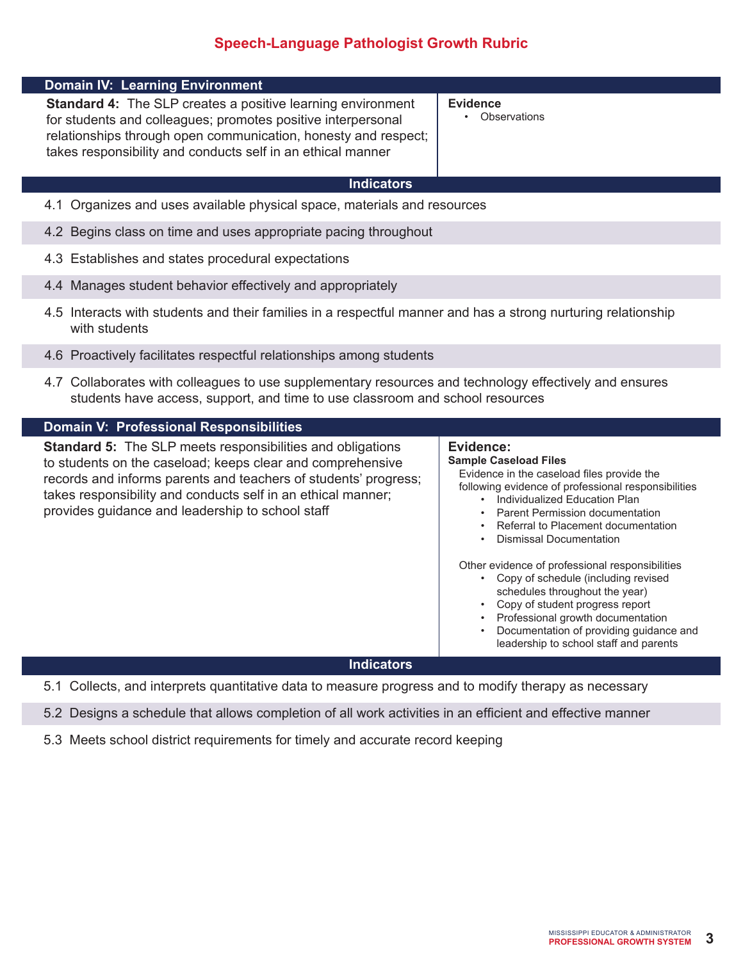## **Speech-Language Pathologist Growth Rubric**

| <b>Domain IV: Learning Environment</b>                                                                                                                                                                                                                                                                                 |                                                                                                                                                                                                                                                                                                                                                                                                                                                                                                                                                                                                       |  |  |
|------------------------------------------------------------------------------------------------------------------------------------------------------------------------------------------------------------------------------------------------------------------------------------------------------------------------|-------------------------------------------------------------------------------------------------------------------------------------------------------------------------------------------------------------------------------------------------------------------------------------------------------------------------------------------------------------------------------------------------------------------------------------------------------------------------------------------------------------------------------------------------------------------------------------------------------|--|--|
| <b>Standard 4:</b> The SLP creates a positive learning environment<br>for students and colleagues; promotes positive interpersonal<br>relationships through open communication, honesty and respect;<br>takes responsibility and conducts self in an ethical manner                                                    | <b>Evidence</b><br>Observations                                                                                                                                                                                                                                                                                                                                                                                                                                                                                                                                                                       |  |  |
| <b>Indicators</b>                                                                                                                                                                                                                                                                                                      |                                                                                                                                                                                                                                                                                                                                                                                                                                                                                                                                                                                                       |  |  |
| 4.1 Organizes and uses available physical space, materials and resources                                                                                                                                                                                                                                               |                                                                                                                                                                                                                                                                                                                                                                                                                                                                                                                                                                                                       |  |  |
| 4.2 Begins class on time and uses appropriate pacing throughout                                                                                                                                                                                                                                                        |                                                                                                                                                                                                                                                                                                                                                                                                                                                                                                                                                                                                       |  |  |
| 4.3 Establishes and states procedural expectations                                                                                                                                                                                                                                                                     |                                                                                                                                                                                                                                                                                                                                                                                                                                                                                                                                                                                                       |  |  |
| 4.4 Manages student behavior effectively and appropriately                                                                                                                                                                                                                                                             |                                                                                                                                                                                                                                                                                                                                                                                                                                                                                                                                                                                                       |  |  |
| 4.5 Interacts with students and their families in a respectful manner and has a strong nurturing relationship<br>with students                                                                                                                                                                                         |                                                                                                                                                                                                                                                                                                                                                                                                                                                                                                                                                                                                       |  |  |
| 4.6 Proactively facilitates respectful relationships among students                                                                                                                                                                                                                                                    |                                                                                                                                                                                                                                                                                                                                                                                                                                                                                                                                                                                                       |  |  |
| 4.7 Collaborates with colleagues to use supplementary resources and technology effectively and ensures<br>students have access, support, and time to use classroom and school resources                                                                                                                                |                                                                                                                                                                                                                                                                                                                                                                                                                                                                                                                                                                                                       |  |  |
| <b>Domain V: Professional Responsibilities</b>                                                                                                                                                                                                                                                                         |                                                                                                                                                                                                                                                                                                                                                                                                                                                                                                                                                                                                       |  |  |
| <b>Standard 5:</b> The SLP meets responsibilities and obligations<br>to students on the caseload; keeps clear and comprehensive<br>records and informs parents and teachers of students' progress;<br>takes responsibility and conducts self in an ethical manner;<br>provides guidance and leadership to school staff | Evidence:<br><b>Sample Caseload Files</b><br>Evidence in the caseload files provide the<br>following evidence of professional responsibilities<br>Individualized Education Plan<br>Parent Permission documentation<br>$\bullet$<br>Referral to Placement documentation<br><b>Dismissal Documentation</b><br>Other evidence of professional responsibilities<br>• Copy of schedule (including revised<br>schedules throughout the year)<br>• Copy of student progress report<br>Professional growth documentation<br>Documentation of providing guidance and<br>leadership to school staff and parents |  |  |
| <b>Indicators</b>                                                                                                                                                                                                                                                                                                      |                                                                                                                                                                                                                                                                                                                                                                                                                                                                                                                                                                                                       |  |  |

- 5.1 Collects, and interprets quantitative data to measure progress and to modify therapy as necessary
- 5.2 Designs a schedule that allows completion of all work activities in an efficient and effective manner
- 5.3 Meets school district requirements for timely and accurate record keeping